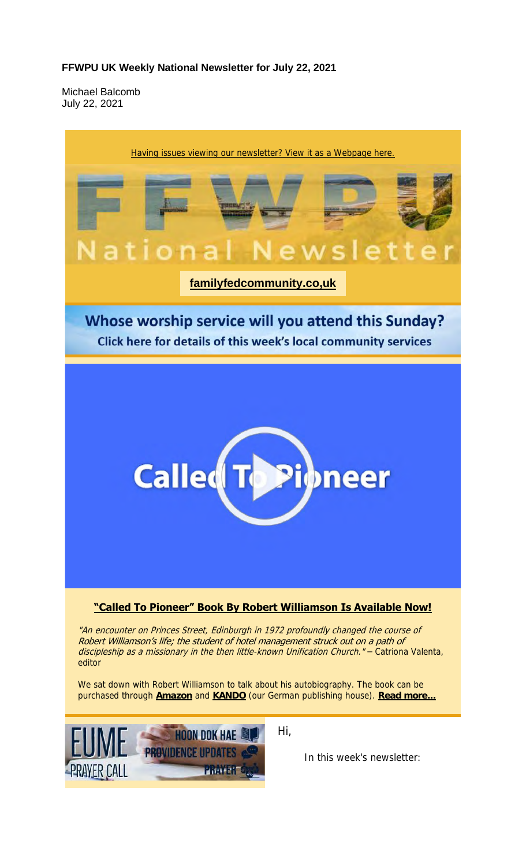#### **FFWPU UK Weekly National Newsletter for July 22, 2021**

Michael Balcomb July 22, 2021

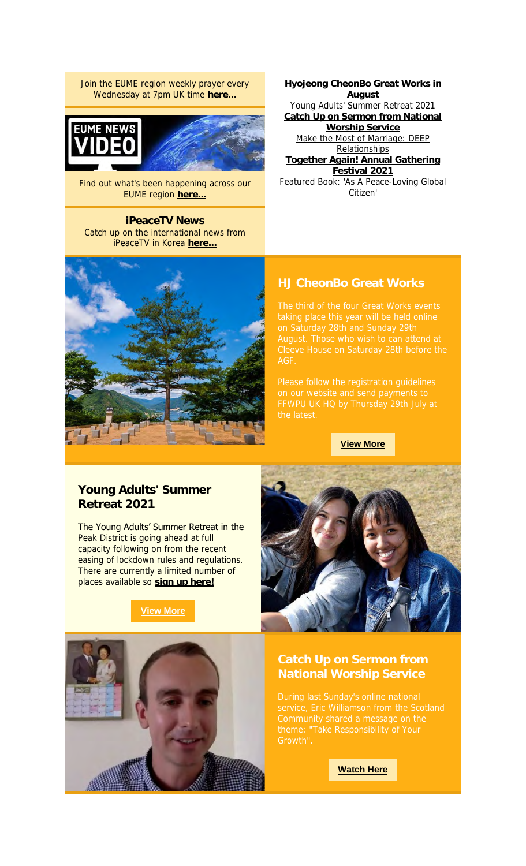Join the EUME region weekly prayer every Wednesday at 7pm UK time **here...**



Find out what's been happening across our EUME region **here...**

**iPeaceTV News** Catch up on the international news from iPeaceTV in Korea **here...**



**Hyojeong CheonBo Great Works in August** Young Adults' Summer Retreat 2021 **Catch Up on Sermon from National Worship Service** Make the Most of Marriage: DEEP **Relationships Together Again! Annual Gathering Festival 2021** Featured Book: 'As A Peace-Loving Global Citizen'

### **HJ CheonBo Great Works**

**View More**

### **Young Adults' Summer Retreat 2021**

The Young Adults' Summer Retreat in the Peak District is going ahead at full capacity following on from the recent easing of lockdown rules and regulations. There are currently a limited number of places available so **sign up here!**





## **National Worship Service**

**Watch Here**

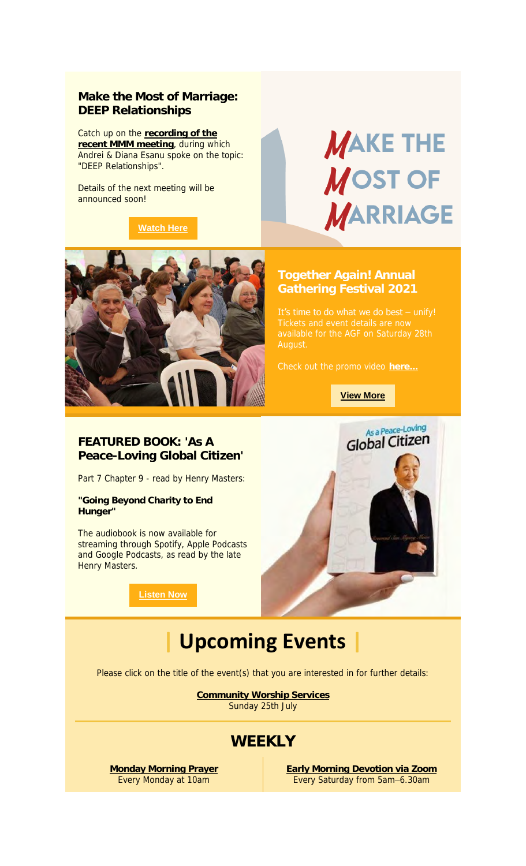### **Make the Most of Marriage: DEEP Relationships**

Catch up on the **recording of the recent MMM meeting**, during which Andrei & Diana Esanu spoke on the topic: "DEEP Relationships".

Details of the next meeting will be announced soon!

**Watch Here**

# **MAKE THE MOST OF MARRIAGE**



# **Gathering Festival 2021**

It's time to do what we do best - unify!

**View More**

### **FEATURED BOOK: 'As A Peace-Loving Global Citizen'**

Part 7 Chapter 9 - read by Henry Masters:

**"Going Beyond Charity to End Hunger"**

The audiobook is now available for streaming through Spotify, Apple Podcasts and Google Podcasts, as read by the late Henry Masters.

**Listen Now**



## **| Upcoming Events |**

Please click on the title of the event(s) that you are interested in for further details:

**Community Worship Services** Sunday 25th July

### **WEEKLY**

**Monday Morning Prayer** Every Monday at 10am

**Early Morning Devotion via Zoom** Every Saturday from 5am–6.30am